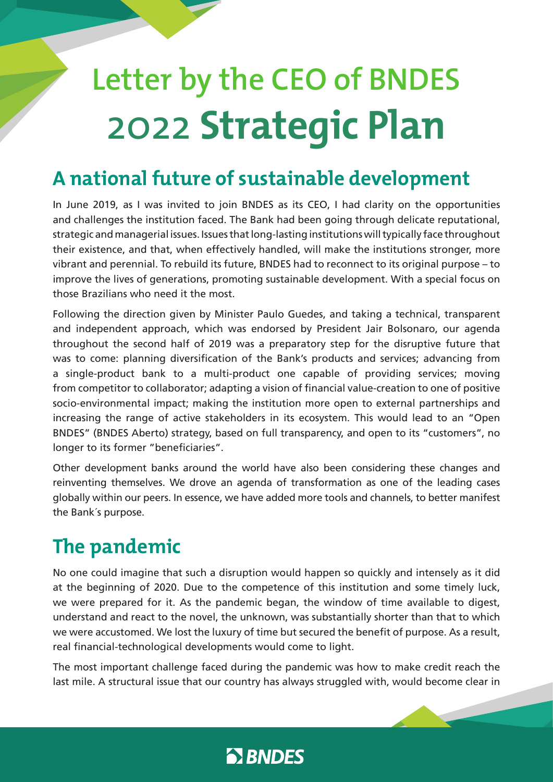# **Letter by the CEO of BNDES** 2022 **Strategic Plan**

### **A national future of sustainable development**

In June 2019, as I was invited to join BNDES as its CEO, I had clarity on the opportunities and challenges the institution faced. The Bank had been going through delicate reputational, strategic and managerial issues. Issues that long-lasting institutions will typically face throughout their existence, and that, when effectively handled, will make the institutions stronger, more vibrant and perennial. To rebuild its future, BNDES had to reconnect to its original purpose – to improve the lives of generations, promoting sustainable development. With a special focus on those Brazilians who need it the most.

Following the direction given by Minister Paulo Guedes, and taking a technical, transparent and independent approach, which was endorsed by President Jair Bolsonaro, our agenda throughout the second half of 2019 was a preparatory step for the disruptive future that was to come: planning diversification of the Bank's products and services; advancing from a single-product bank to a multi-product one capable of providing services; moving from competitor to collaborator; adapting a vision of financial value-creation to one of positive socio-environmental impact; making the institution more open to external partnerships and increasing the range of active stakeholders in its ecosystem. This would lead to an "Open BNDES" (BNDES Aberto) strategy, based on full transparency, and open to its "customers", no longer to its former "beneficiaries".

Other development banks around the world have also been considering these changes and reinventing themselves. We drove an agenda of transformation as one of the leading cases globally within our peers. In essence, we have added more tools and channels, to better manifest the Bank´s purpose.

## **The pandemic**

No one could imagine that such a disruption would happen so quickly and intensely as it did at the beginning of 2020. Due to the competence of this institution and some timely luck, we were prepared for it. As the pandemic began, the window of time available to digest, understand and react to the novel, the unknown, was substantially shorter than that to which we were accustomed. We lost the luxury of time but secured the benefit of purpose. As a result, real financial-technological developments would come to light.

The most important challenge faced during the pandemic was how to make credit reach the last mile. A structural issue that our country has always struggled with, would become clear in

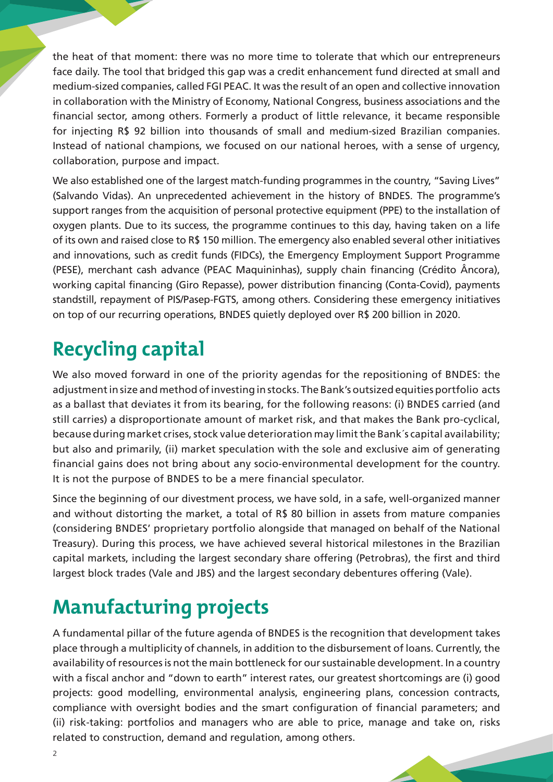the heat of that moment: there was no more time to tolerate that which our entrepreneurs face daily. The tool that bridged this gap was a credit enhancement fund directed at small and medium-sized companies, called FGI PEAC. It was the result of an open and collective innovation in collaboration with the Ministry of Economy, National Congress, business associations and the financial sector, among others. Formerly a product of little relevance, it became responsible for injecting R\$ 92 billion into thousands of small and medium-sized Brazilian companies. Instead of national champions, we focused on our national heroes, with a sense of urgency, collaboration, purpose and impact.

We also established one of the largest match-funding programmes in the country, "Saving Lives" (Salvando Vidas). An unprecedented achievement in the history of BNDES. The programme's support ranges from the acquisition of personal protective equipment (PPE) to the installation of oxygen plants. Due to its success, the programme continues to this day, having taken on a life of its own and raised close to R\$ 150 million. The emergency also enabled several other initiatives and innovations, such as credit funds (FIDCs), the Emergency Employment Support Programme (PESE), merchant cash advance (PEAC Maquininhas), supply chain financing (Crédito Âncora), working capital financing (Giro Repasse), power distribution financing (Conta-Covid), payments standstill, repayment of PIS/Pasep-FGTS, among others. Considering these emergency initiatives on top of our recurring operations, BNDES quietly deployed over R\$ 200 billion in 2020.

# **Recycling capital**

We also moved forward in one of the priority agendas for the repositioning of BNDES: the adjustment in size and method of investing in stocks. The Bank's outsized equities portfolio acts as a ballast that deviates it from its bearing, for the following reasons: (i) BNDES carried (and still carries) a disproportionate amount of market risk, and that makes the Bank pro-cyclical, because during market crises, stock value deterioration may limit the Bank´s capital availability; but also and primarily, (ii) market speculation with the sole and exclusive aim of generating financial gains does not bring about any socio-environmental development for the country. It is not the purpose of BNDES to be a mere financial speculator.

Since the beginning of our divestment process, we have sold, in a safe, well-organized manner and without distorting the market, a total of R\$ 80 billion in assets from mature companies (considering BNDES' proprietary portfolio alongside that managed on behalf of the National Treasury). During this process, we have achieved several historical milestones in the Brazilian capital markets, including the largest secondary share offering (Petrobras), the first and third largest block trades (Vale and JBS) and the largest secondary debentures offering (Vale).

### **Manufacturing projects**

A fundamental pillar of the future agenda of BNDES is the recognition that development takes place through a multiplicity of channels, in addition to the disbursement of loans. Currently, the availability of resources is not the main bottleneck for our sustainable development. In a country with a fiscal anchor and "down to earth" interest rates, our greatest shortcomings are (i) good projects: good modelling, environmental analysis, engineering plans, concession contracts, compliance with oversight bodies and the smart configuration of financial parameters; and (ii) risk-taking: portfolios and managers who are able to price, manage and take on, risks related to construction, demand and regulation, among others.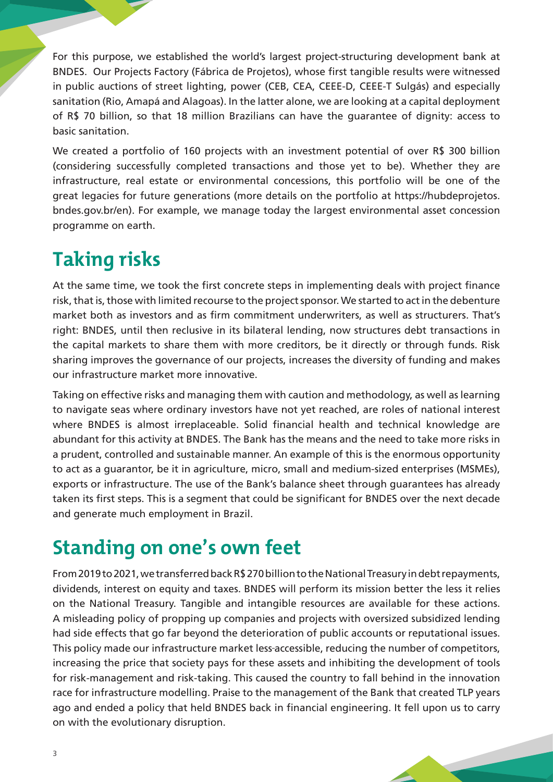For this purpose, we established the world's largest project-structuring development bank at BNDES. Our Projects Factory (Fábrica de Projetos), whose first tangible results were witnessed in public auctions of street lighting, power (CEB, CEA, CEEE-D, CEEE-T Sulgás) and especially sanitation (Rio, Amapá and Alagoas). In the latter alone, we are looking at a capital deployment of R\$ 70 billion, so that 18 million Brazilians can have the guarantee of dignity: access to basic sanitation.

We created a portfolio of 160 projects with an investment potential of over R\$ 300 billion (considering successfully completed transactions and those yet to be). Whether they are infrastructure, real estate or environmental concessions, this portfolio will be one of the great legacies for future generations (more details on the portfolio at https://hubdeprojetos. bndes.gov.br/en). For example, we manage today the largest environmental asset concession programme on earth.

# **Taking risks**

At the same time, we took the first concrete steps in implementing deals with project finance risk, that is, those with limited recourse to the project sponsor. We started to act in the debenture market both as investors and as firm commitment underwriters, as well as structurers. That's right: BNDES, until then reclusive in its bilateral lending, now structures debt transactions in the capital markets to share them with more creditors, be it directly or through funds. Risk sharing improves the governance of our projects, increases the diversity of funding and makes our infrastructure market more innovative.

Taking on effective risks and managing them with caution and methodology, as well as learning to navigate seas where ordinary investors have not yet reached, are roles of national interest where BNDES is almost irreplaceable. Solid financial health and technical knowledge are abundant for this activity at BNDES. The Bank has the means and the need to take more risks in a prudent, controlled and sustainable manner. An example of this is the enormous opportunity to act as a guarantor, be it in agriculture, micro, small and medium-sized enterprises (MSMEs), exports or infrastructure. The use of the Bank's balance sheet through guarantees has already taken its first steps. This is a segment that could be significant for BNDES over the next decade and generate much employment in Brazil.

### **Standing on one's own feet**

From 2019 to 2021, we transferred back R\$ 270 billion to the National Treasury in debt repayments, dividends, interest on equity and taxes. BNDES will perform its mission better the less it relies on the National Treasury. Tangible and intangible resources are available for these actions. A misleading policy of propping up companies and projects with oversized subsidized lending had side effects that go far beyond the deterioration of public accounts or reputational issues. This policy made our infrastructure market less accessible, reducing the number of competitors, increasing the price that society pays for these assets and inhibiting the development of tools for risk-management and risk-taking. This caused the country to fall behind in the innovation race for infrastructure modelling. Praise to the management of the Bank that created TLP years ago and ended a policy that held BNDES back in financial engineering. It fell upon us to carry on with the evolutionary disruption.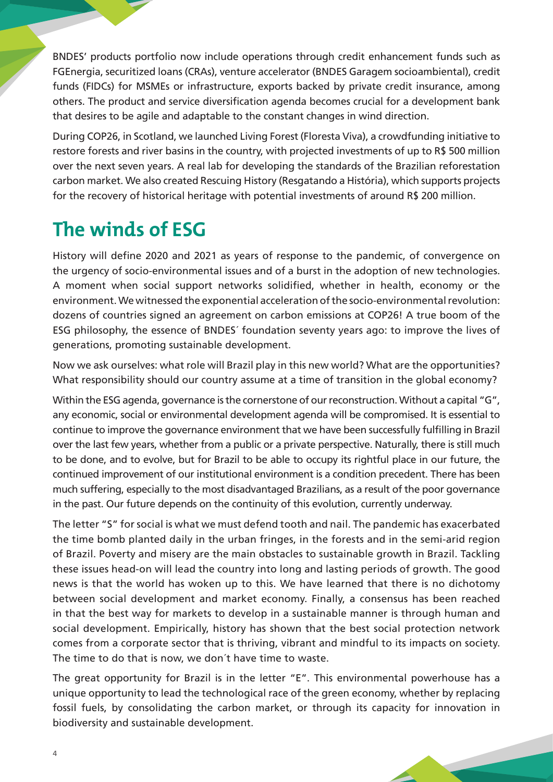BNDES' products portfolio now include operations through credit enhancement funds such as FGEnergia, securitized loans (CRAs), venture accelerator (BNDES Garagem socioambiental), credit funds (FIDCs) for MSMEs or infrastructure, exports backed by private credit insurance, among others. The product and service diversification agenda becomes crucial for a development bank that desires to be agile and adaptable to the constant changes in wind direction.

During COP26, in Scotland, we launched Living Forest (Floresta Viva), a crowdfunding initiative to restore forests and river basins in the country, with projected investments of up to R\$ 500 million over the next seven years. A real lab for developing the standards of the Brazilian reforestation carbon market. We also created Rescuing History (Resgatando a História), which supports projects for the recovery of historical heritage with potential investments of around R\$ 200 million.

# **The winds of ESG**

History will define 2020 and 2021 as years of response to the pandemic, of convergence on the urgency of socio-environmental issues and of a burst in the adoption of new technologies. A moment when social support networks solidified, whether in health, economy or the environment. We witnessed the exponential acceleration of the socio-environmental revolution: dozens of countries signed an agreement on carbon emissions at COP26! A true boom of the ESG philosophy, the essence of BNDES´ foundation seventy years ago: to improve the lives of generations, promoting sustainable development.

Now we ask ourselves: what role will Brazil play in this new world? What are the opportunities? What responsibility should our country assume at a time of transition in the global economy?

Within the ESG agenda, governance is the cornerstone of our reconstruction. Without a capital "G", any economic, social or environmental development agenda will be compromised. It is essential to continue to improve the governance environment that we have been successfully fulfilling in Brazil over the last few years, whether from a public or a private perspective. Naturally, there is still much to be done, and to evolve, but for Brazil to be able to occupy its rightful place in our future, the continued improvement of our institutional environment is a condition precedent. There has been much suffering, especially to the most disadvantaged Brazilians, as a result of the poor governance in the past. Our future depends on the continuity of this evolution, currently underway.

The letter "S" for social is what we must defend tooth and nail. The pandemic has exacerbated the time bomb planted daily in the urban fringes, in the forests and in the semi-arid region of Brazil. Poverty and misery are the main obstacles to sustainable growth in Brazil. Tackling these issues head-on will lead the country into long and lasting periods of growth. The good news is that the world has woken up to this. We have learned that there is no dichotomy between social development and market economy. Finally, a consensus has been reached in that the best way for markets to develop in a sustainable manner is through human and social development. Empirically, history has shown that the best social protection network comes from a corporate sector that is thriving, vibrant and mindful to its impacts on society. The time to do that is now, we don´t have time to waste.

The great opportunity for Brazil is in the letter "E". This environmental powerhouse has a unique opportunity to lead the technological race of the green economy, whether by replacing fossil fuels, by consolidating the carbon market, or through its capacity for innovation in biodiversity and sustainable development.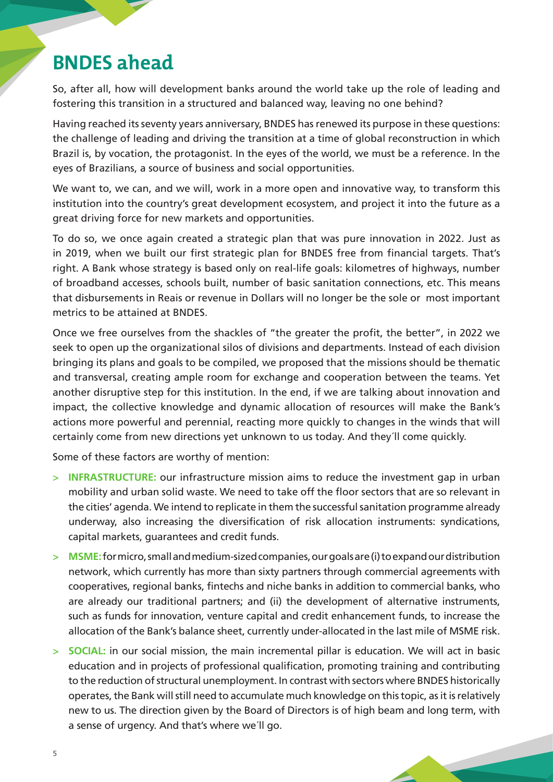#### **BNDES ahead**

So, after all, how will development banks around the world take up the role of leading and fostering this transition in a structured and balanced way, leaving no one behind?

Having reached its seventy years anniversary, BNDES has renewed its purpose in these questions: the challenge of leading and driving the transition at a time of global reconstruction in which Brazil is, by vocation, the protagonist. In the eyes of the world, we must be a reference. In the eyes of Brazilians, a source of business and social opportunities.

We want to, we can, and we will, work in a more open and innovative way, to transform this institution into the country's great development ecosystem, and project it into the future as a great driving force for new markets and opportunities.

To do so, we once again created a strategic plan that was pure innovation in 2022. Just as in 2019, when we built our first strategic plan for BNDES free from financial targets. That's right. A Bank whose strategy is based only on real-life goals: kilometres of highways, number of broadband accesses, schools built, number of basic sanitation connections, etc. This means that disbursements in Reais or revenue in Dollars will no longer be the sole or most important metrics to be attained at BNDES.

Once we free ourselves from the shackles of "the greater the profit, the better", in 2022 we seek to open up the organizational silos of divisions and departments. Instead of each division bringing its plans and goals to be compiled, we proposed that the missions should be thematic and transversal, creating ample room for exchange and cooperation between the teams. Yet another disruptive step for this institution. In the end, if we are talking about innovation and impact, the collective knowledge and dynamic allocation of resources will make the Bank's actions more powerful and perennial, reacting more quickly to changes in the winds that will certainly come from new directions yet unknown to us today. And they´ll come quickly.

Some of these factors are worthy of mention:

- > **INFRASTRUCTURE:** our infrastructure mission aims to reduce the investment gap in urban mobility and urban solid waste. We need to take off the floor sectors that are so relevant in the cities' agenda. We intend to replicate in them the successful sanitation programme already underway, also increasing the diversification of risk allocation instruments: syndications, capital markets, guarantees and credit funds.
- > **MSME:** for micro, small and medium-sized companies, our goals are (i) to expand our distribution network, which currently has more than sixty partners through commercial agreements with cooperatives, regional banks, fintechs and niche banks in addition to commercial banks, who are already our traditional partners; and (ii) the development of alternative instruments, such as funds for innovation, venture capital and credit enhancement funds, to increase the allocation of the Bank's balance sheet, currently under-allocated in the last mile of MSME risk.
- > **SOCIAL:** in our social mission, the main incremental pillar is education. We will act in basic education and in projects of professional qualification, promoting training and contributing to the reduction of structural unemployment. In contrast with sectors where BNDES historically operates, the Bank will still need to accumulate much knowledge on this topic, as it is relatively new to us. The direction given by the Board of Directors is of high beam and long term, with a sense of urgency. And that's where we´ll go.